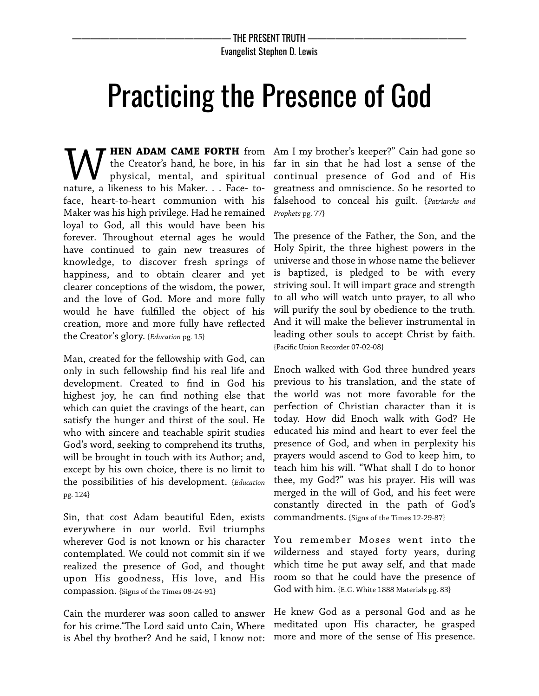## Practicing the Presence of God

**HEN ADAM CAME FORTH** from the Creator's hand, he bore, in his physical, mental, and spiritual **MU HEN ADAM CAME FORTH** from the Creator's hand, he bore, in his physical, mental, and spiritual nature, a likeness to his Maker. . . Face-toface, heart-to-heart communion with his Maker was his high privilege. Had he remained loyal to God, all this would have been his forever. Throughout eternal ages he would have continued to gain new treasures of knowledge, to discover fresh springs of happiness, and to obtain clearer and yet clearer conceptions of the wisdom, the power, and the love of God. More and more fully would he have fulflled the object of his creation, more and more fully have refected the Creator's glory. {*Education* pg. 15}

Man, created for the fellowship with God, can only in such fellowship fnd his real life and development. Created to fnd in God his highest joy, he can fnd nothing else that which can quiet the cravings of the heart, can satisfy the hunger and thirst of the soul. He who with sincere and teachable spirit studies God's word, seeking to comprehend its truths, will be brought in touch with its Author; and, except by his own choice, there is no limit to the possibilities of his development. {*Education* pg. 124}

Sin, that cost Adam beautiful Eden, exists everywhere in our world. Evil triumphs wherever God is not known or his character contemplated. We could not commit sin if we realized the presence of God, and thought upon His goodness, His love, and His compassion. {Signs of the Times 08-24-91}

Cain the murderer was soon called to answer for his crime."The Lord said unto Cain, Where is Abel thy brother? And he said, I know not:

Am I my brother's keeper?" Cain had gone so far in sin that he had lost a sense of the continual presence of God and of His greatness and omniscience. So he resorted to falsehood to conceal his guilt. {*Patriarchs and Prophets* pg. 77}

The presence of the Father, the Son, and the Holy Spirit, the three highest powers in the universe and those in whose name the believer is baptized, is pledged to be with every striving soul. It will impart grace and strength to all who will watch unto prayer, to all who will purify the soul by obedience to the truth. And it will make the believer instrumental in leading other souls to accept Christ by faith. {Pacifc Union Recorder 07-02-08}

Enoch walked with God three hundred years previous to his translation, and the state of the world was not more favorable for the perfection of Christian character than it is today. How did Enoch walk with God? He educated his mind and heart to ever feel the presence of God, and when in perplexity his prayers would ascend to God to keep him, to teach him his will. "What shall I do to honor thee, my God?" was his prayer. His will was merged in the will of God, and his feet were constantly directed in the path of God's commandments. {Signs of the Times 12-29-87}

You remember Moses went into the wilderness and stayed forty years, during which time he put away self, and that made room so that he could have the presence of God with him. {E.G. White 1888 Materials pg. 83}

He knew God as a personal God and as he meditated upon His character, he grasped more and more of the sense of His presence.